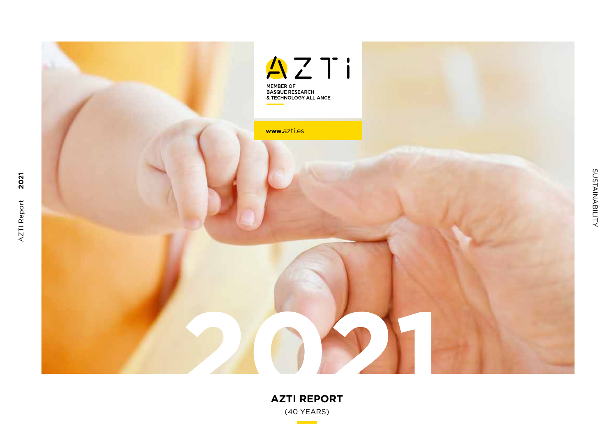

**AZTI REPORT** (40 YEARS)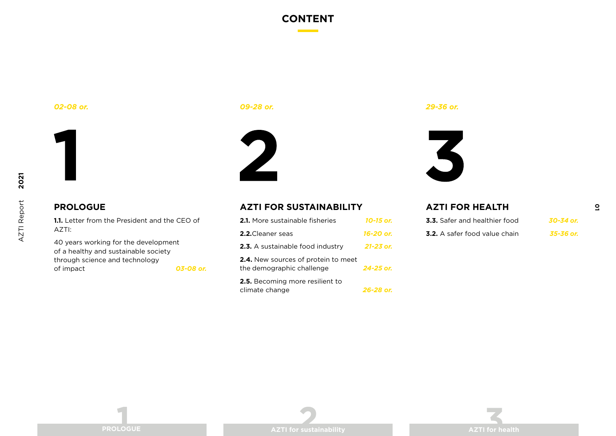### **CONTENT**

*09-28 or.*



# 2

*02-08 or. 29-36 or.*



**AZTI FOR HEALTH** 

### **PROLOGUE**

**1.1.** Letter from the President and the CEO of AZTI:

40 years working for the development of a healthy and sustainable society through science and technology of impact *03-08 or.*

### **AZTI FOR SUSTAINABILITY**

| <b>2.1.</b> More sustainable fisheries                                  | 10-15 or. |
|-------------------------------------------------------------------------|-----------|
| <b>2.2.</b> Cleaner seas                                                | 16-20 or. |
| 2.3. A sustainable food industry                                        | 21-23 or. |
| <b>2.4.</b> New sources of protein to meet<br>the demographic challenge | 24-25 or. |
| <b>2.5.</b> Becoming more resilient to<br>climate change                | 26-28 or. |

**01**

| <b>3.3.</b> Safer and healthier food | 30-34 or. |
|--------------------------------------|-----------|
| <b>3.2.</b> A safer food value chain | 35-36 or. |

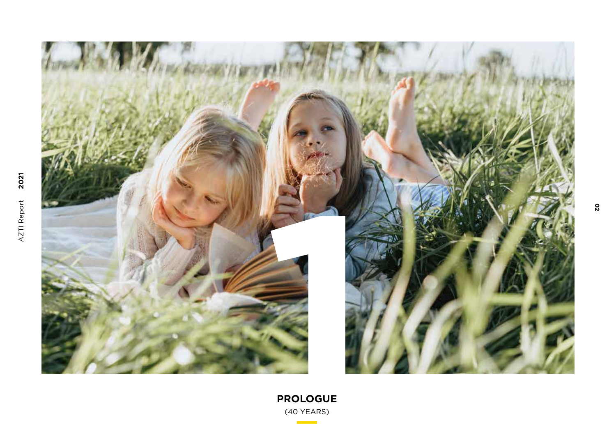

**PROLOGUE** (40 YEARS)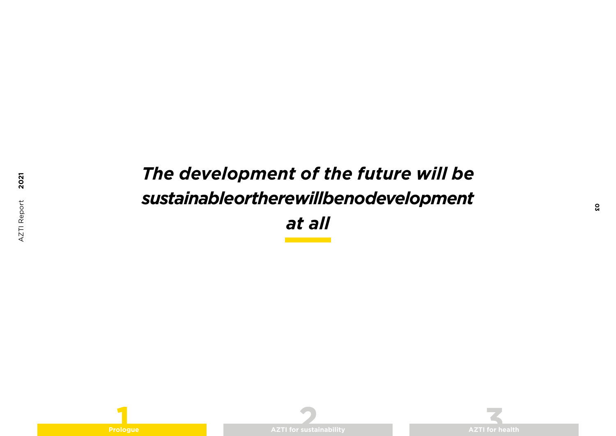# *The development of the future will be sustainable or there will be no development at all*

**2021**





**03**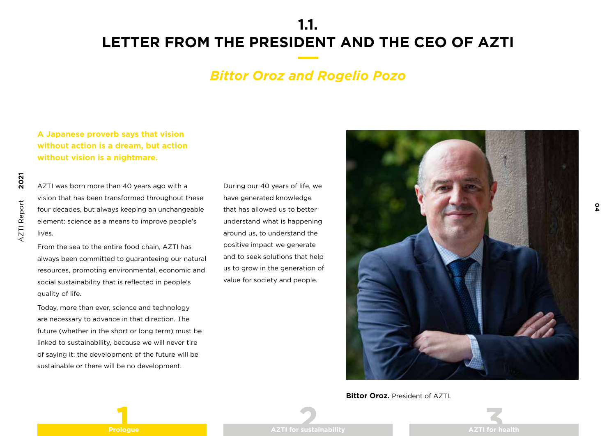### *Bittor Oroz and Rogelio Pozo*

**A Japanese proverb says that vision without action is a dream, but action without vision is a nightmare.**

AZTI was born more than 40 years ago with a vision that has been transformed throughout these four decades, but always keeping an unchangeable element: science as a means to improve people's lives.

From the sea to the entire food chain, AZTI has always been committed to guaranteeing our natural resources, promoting environmental, economic and social sustainability that is reflected in people's quality of life.

Today, more than ever, science and technology are necessary to advance in that direction. The future (whether in the short or long term) must be linked to sustainability, because we will never tire of saying it: the development of the future will be sustainable or there will be no development.

During our 40 years of life, we have generated knowledge that has allowed us to better understand what is happening around us, to understand the positive impact we generate and to seek solutions that help us to grow in the generation of value for society and people.



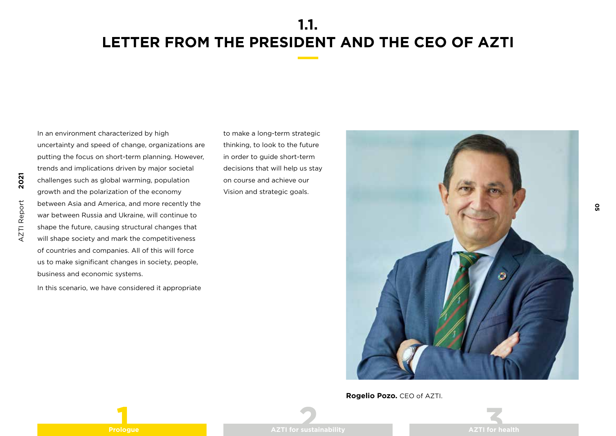**2021** AZTI Report AZTI Report

In an environment characterized by high uncertainty and speed of change, organizations are putting the focus on short-term planning. However, trends and implications driven by major societal challenges such as global warming, population growth and the polarization of the economy between Asia and America, and more recently the war between Russia and Ukraine, will continue to shape the future, causing structural changes that will shape society and mark the competitiveness of countries and companies. All of this will force us to make significant changes in society, people, business and economic systems.

In this scenario, we have considered it appropriate

to make a long-term strategic thinking, to look to the future in order to guide short-term decisions that will help us stay on course and achieve our Vision and strategic goals.



**Rogelio Pozo.** CEO of AZTI.

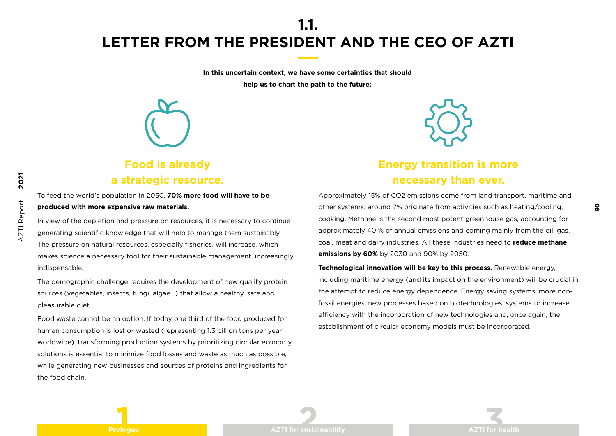**In this uncertain context, we have some certainties that should help us to chart the path to the future:**



### **Food is already a strategic resource.**

To feed the world's population in 2050, **70% more food will have to be produced with more expensive raw materials.**

In view of the depletion and pressure on resources, it is necessary to continue generating scientific knowledge that will help to manage them sustainably.

The pressure on natural resources, especially fisheries, will increase, which makes science a necessary tool for their sustainable management, increasingly indispensable.

The demographic challenge requires the development of new quality protein sources (vegetables, insects, fungi, algae...) that allow a healthy, safe and pleasurable diet.

Food waste cannot be an option. If today one third of the food produced for human consumption is lost or wasted (representing 1.3 billion tons per year worldwide), transforming production systems by prioritizing circular economy solutions is essential to minimize food losses and waste as much as possible, while generating new businesses and sources of proteins and ingredients for the food chain.



### **Energy transition is more necessary than ever.**

Approximately 15% of CO2 emissions come from land transport, maritime and other systems; around 7% originate from activities such as heating/cooling, cooking. Methane is the second most potent greenhouse gas, accounting for approximately 40 % of annual emissions and coming mainly from the oil, gas, coal, meat and dairy industries. All these industries need to **reduce methane emissions by 60%** by 2030 and 90% by 2050.

**Technological innovation will be key to this process.** Renewable energy, including maritime energy (and its impact on the environment) will be crucial in the attempt to reduce energy dependence. Energy saving systems, more nonfossil energies, new processes based on biotechnologies, systems to increase efficiency with the incorporation of new technologies and, once again, the establishment of circular economy models must be incorporated.

**2021**

**Prologue AZTI for sustainability AZTI for health**



**06**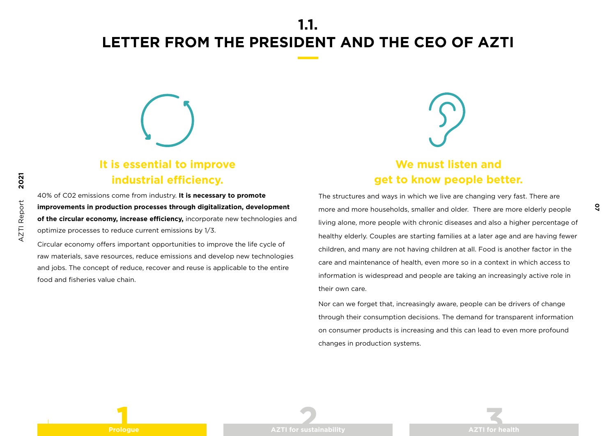

### **It is essential to improve industrial efficiency.**

40% of C02 emissions come from industry. **It is necessary to promote improvements in production processes through digitalization, development of the circular economy, increase efficiency,** incorporate new technologies and optimize processes to reduce current emissions by 1/3.

Circular economy offers important opportunities to improve the life cycle of raw materials, save resources, reduce emissions and develop new technologies and jobs. The concept of reduce, recover and reuse is applicable to the entire food and fisheries value chain.

### **We must listen and get to know people better.**

The structures and ways in which we live are changing very fast. There are more and more households, smaller and older. There are more elderly people living alone, more people with chronic diseases and also a higher percentage of healthy elderly. Couples are starting families at a later age and are having fewer children, and many are not having children at all. Food is another factor in the care and maintenance of health, even more so in a context in which access to information is widespread and people are taking an increasingly active role in their own care.

Nor can we forget that, increasingly aware, people can be drivers of change through their consumption decisions. The demand for transparent information on consumer products is increasing and this can lead to even more profound changes in production systems.

**2021**

AZTI Report

AZTI Report

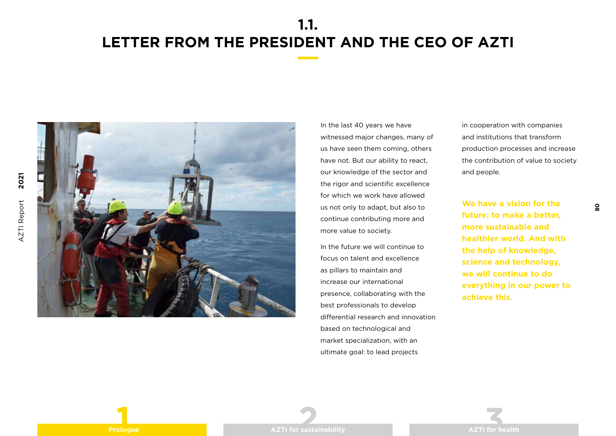

In the last 40 years we have witnessed major changes, many of us have seen them coming, others have not. But our ability to react, our knowledge of the sector and the rigor and scientific excellence for which we work have allowed us not only to adapt, but also to continue contributing more and more value to society.

In the future we will continue to focus on talent and excellence as pillars to maintain and increase our international presence, collaborating with the best professionals to develop differential research and innovation based on technological and market specialization, with an ultimate goal: to lead projects

in cooperation with companies and institutions that transform production processes and increase the contribution of value to society and people.

**We have a vision for the future: to make a better, more sustainable and healthier world. And with the help of knowledge, science and technology, we will continue to do everything in our power to achieve this.**

**08**

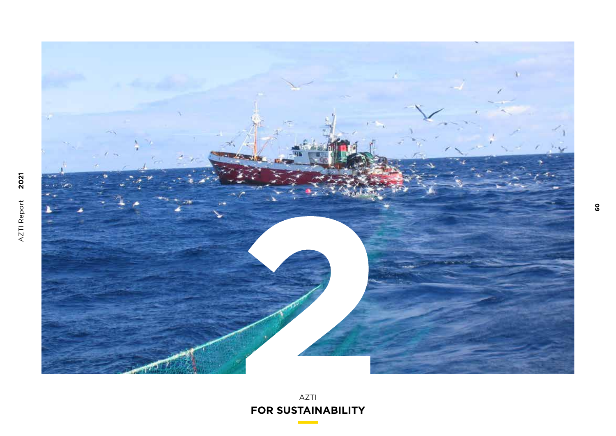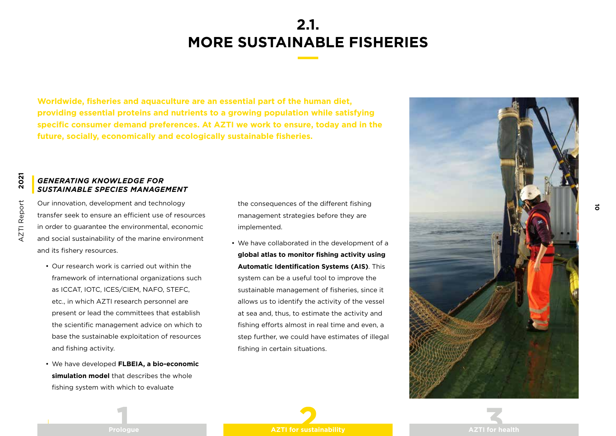**Worldwide, fisheries and aquaculture are an essential part of the human diet, providing essential proteins and nutrients to a growing population while satisfying specific consumer demand preferences. At AZTI we work to ensure, today and in the future, socially, economically and ecologically sustainable fisheries.**

### *GENERATING KNOWLEDGE FOR SUSTAINABLE SPECIES MANAGEMENT*

Our innovation, development and technology transfer seek to ensure an efficient use of resources in order to guarantee the environmental, economic and social sustainability of the marine environment and its fishery resources.

- Our research work is carried out within the framework of international organizations such as ICCAT, IOTC, ICES/CIEM, NAFO, STEFC, etc., in which AZTI research personnel are present or lead the committees that establish the scientific management advice on which to base the sustainable exploitation of resources and fishing activity.
- We have developed **FLBEIA, a bio-economic simulation model** that describes the whole fishing system with which to evaluate

the consequences of the different fishing management strategies before they are implemented.

• We have collaborated in the development of a **global atlas to monitor fishing activity using Automatic Identification Systems (AIS)**. This system can be a useful tool to improve the sustainable management of fisheries, since it allows us to identify the activity of the vessel at sea and, thus, to estimate the activity and fishing efforts almost in real time and even, a step further, we could have estimates of illegal fishing in certain situations.



<u>ក</u>



**2021**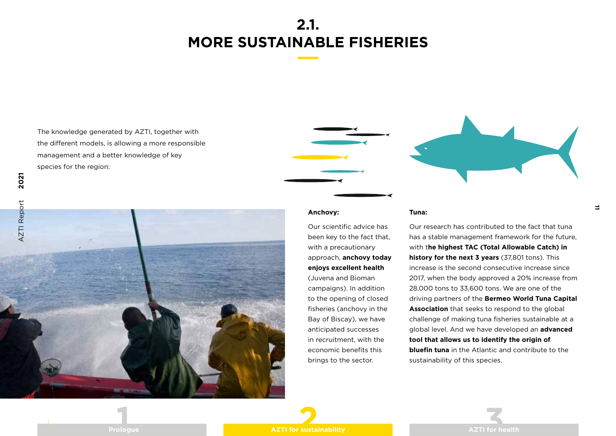The knowledge generated by AZTI, together with the different models, is allowing a more responsible management and a better knowledge of key species for the region:



#### **Anchovy:**

Our scientific advice has been key to the fact that, with a precautionary approach, **anchovy today enjoys excellent health**  (Juvena and Bioman campaigns). In addition to the opening of closed fisheries (anchovy in the Bay of Biscay), we have anticipated successes in recruitment, with the economic benefits this brings to the sector.

#### **Tuna:**

Our research has contributed to the fact that tuna has a stable management framework for the future, with t**he highest TAC (Total Allowable Catch) in history for the next 3 years** (37,801 tons). This increase is the second consecutive increase since 2017, when the body approved a 20% increase from 28,000 tons to 33,600 tons. We are one of the driving partners of the **Bermeo World Tuna Capital Association** that seeks to respond to the global challenge of making tuna fisheries sustainable at a global level. And we have developed an **advanced tool that allows us to identify the origin of bluefin tuna** in the Atlantic and contribute to the sustainability of this species.

**11**





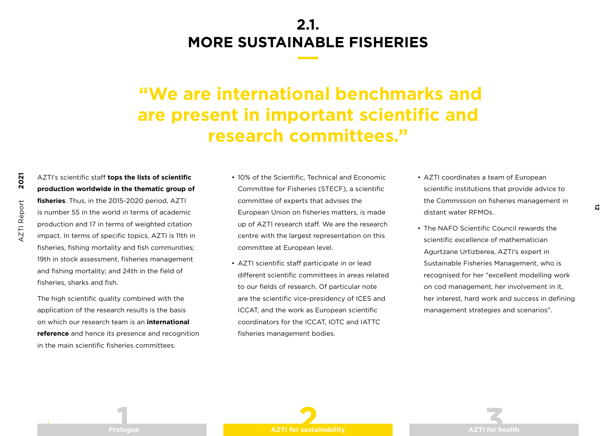# **"We are international benchmarks and are present in important scientific and research committees."**

### AZTI's scientific staff **tops the lists of scientific production worldwide in the thematic group of**

**fisheries**. Thus, in the 2015-2020 period, AZTI is number 55 in the world in terms of academic production and 17 in terms of weighted citation impact. In terms of specific topics, AZTI is 11th in fisheries, fishing mortality and fish communities; 19th in stock assessment, fisheries management and fishing mortality; and 24th in the field of fisheries, sharks and fish.

The high scientific quality combined with the application of the research results is the basis on which our research team is an **international reference** and hence its presence and recognition in the main scientific fisheries committees.

- 10% of the Scientific, Technical and Economic Committee for Fisheries (STECF), a scientific committee of experts that advises the European Union on fisheries matters, is made up of AZTI research staff. We are the research centre with the largest representation on this committee at European level.
- AZTI scientific staff participate in or lead different scientific committees in areas related to our fields of research. Of particular note are the scientific vice-presidency of ICES and ICCAT, and the work as European scientific coordinators for the ICCAT, IOTC and IATTC fisheries management bodies.

• AZTI coordinates a team of European scientific institutions that provide advice to the Commission on fisheries management in distant water RFMOs.

<u>ស</u>

• The NAFO Scientific Council rewards the scientific excellence of mathematician Agurtzane Urtizberea, AZTI's expert in Sustainable Fisheries Management, who is recognised for her "excellent modelling work on cod management, her involvement in it, her interest, hard work and success in defining management strategies and scenarios".

**2021 AZTI Report** AZTI Report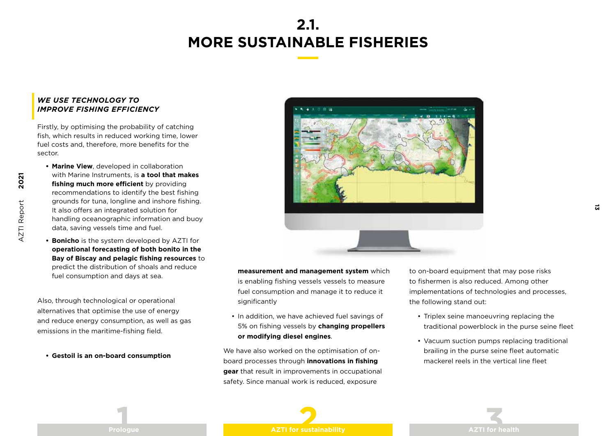### *WE USE TECHNOLOGY TO IMPROVE FISHING EFFICIENCY*

Firstly, by optimising the probability of catching fish, which results in reduced working time, lower fuel costs and, therefore, more benefits for the sector.

- **• Marine View**, developed in collaboration with Marine Instruments, is **a tool that makes fishing much more efficient** by providing recommendations to identify the best fishing grounds for tuna, longline and inshore fishing. It also offers an integrated solution for handling oceanographic information and buoy data, saving vessels time and fuel.
- **• Bonicho** is the system developed by AZTI for **operational forecasting of both bonito in the Bay of Biscay and pelagic fishing resources** to predict the distribution of shoals and reduce fuel consumption and days at sea.

Also, through technological or operational alternatives that optimise the use of energy and reduce energy consumption, as well as gas emissions in the maritime-fishing field.

**• Gestoil is an on-board consumption** 



**measurement and management system** which is enabling fishing vessels vessels to measure fuel consumption and manage it to reduce it significantly

• In addition, we have achieved fuel savings of 5% on fishing vessels by **changing propellers or modifying diesel engines**.

We have also worked on the optimisation of onboard processes through **innovations in fishing gear** that result in improvements in occupational safety. Since manual work is reduced, exposure

to on-board equipment that may pose risks to fishermen is also reduced. Among other implementations of technologies and processes, the following stand out:

**13**

- Triplex seine manoeuvring replacing the traditional powerblock in the purse seine fleet
- Vacuum suction pumps replacing traditional brailing in the purse seine fleet automatic mackerel reels in the vertical line fleet



**2021**

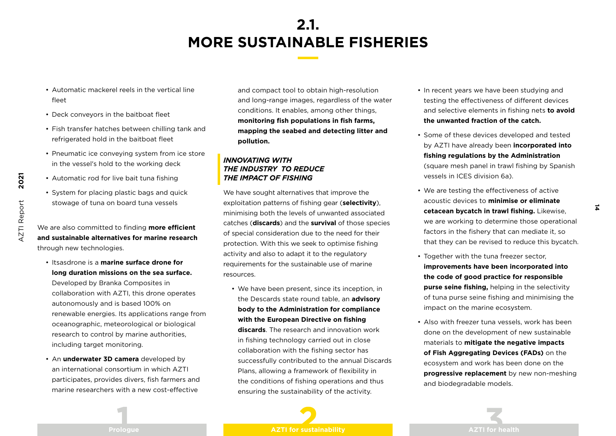- Automatic mackerel reels in the vertical line fleet
- Deck conveyors in the baitboat fleet
- Fish transfer hatches between chilling tank and refrigerated hold in the baitboat fleet
- Pneumatic ice conveying system from ice store in the vessel's hold to the working deck
- Automatic rod for live bait tuna fishing
- System for placing plastic bags and quick stowage of tuna on board tuna vessels

We are also committed to finding **more efficient and sustainable alternatives for marine research** through new technologies.

• Itsasdrone is a **marine surface drone for long duration missions on the sea surface.** 

Developed by Branka Composites in collaboration with AZTI, this drone operates autonomously and is based 100% on renewable energies. Its applications range from oceanographic, meteorological or biological research to control by marine authorities, including target monitoring.

• An **underwater 3D camera** developed by an international consortium in which AZTI participates, provides divers, fish farmers and marine researchers with a new cost-effective

and compact tool to obtain high-resolution and long-range images, regardless of the water conditions. It enables, among other things, **monitoring fish populations in fish farms, mapping the seabed and detecting litter and pollution.**

### *INNOVATING WITH THE INDUSTRY TO REDUCE THE IMPACT OF FISHING*

We have sought alternatives that improve the exploitation patterns of fishing gear (**selectivity**), minimising both the levels of unwanted associated catches (**discards**) and the **survival** of those species of special consideration due to the need for their protection. With this we seek to optimise fishing activity and also to adapt it to the regulatory requirements for the sustainable use of marine resources.

• We have been present, since its inception, in the Descards state round table, an **advisory body to the Administration for compliance with the European Directive on fishing discards**. The research and innovation work in fishing technology carried out in close collaboration with the fishing sector has successfully contributed to the annual Discards Plans, allowing a framework of flexibility in the conditions of fishing operations and thus ensuring the sustainability of the activity.

- In recent years we have been studying and testing the effectiveness of different devices and selective elements in fishing nets **to avoid the unwanted fraction of the catch.**
- Some of these devices developed and tested by AZTI have already been **incorporated into fishing regulations by the Administration** (square mesh panel in trawl fishing by Spanish vessels in ICES division 6a).
- We are testing the effectiveness of active acoustic devices to **minimise or eliminate cetacean bycatch in trawl fishing.** Likewise, we are working to determine those operational factors in the fishery that can mediate it, so that they can be revised to reduce this bycatch.

**14**

- Together with the tuna freezer sector, **improvements have been incorporated into the code of good practice for responsible purse seine fishing,** helping in the selectivity of tuna purse seine fishing and minimising the impact on the marine ecosystem.
- Also with freezer tuna vessels, work has been done on the development of new sustainable materials to **mitigate the negative impacts of Fish Aggregating Devices (FADs)** on the ecosystem and work has been done on the **progressive replacement** by new non-meshing and biodegradable models.

AZTI Report AZTI Report

**2021**

**Prologue AZTI for sustainability AZTI for sustainability AZTI for health**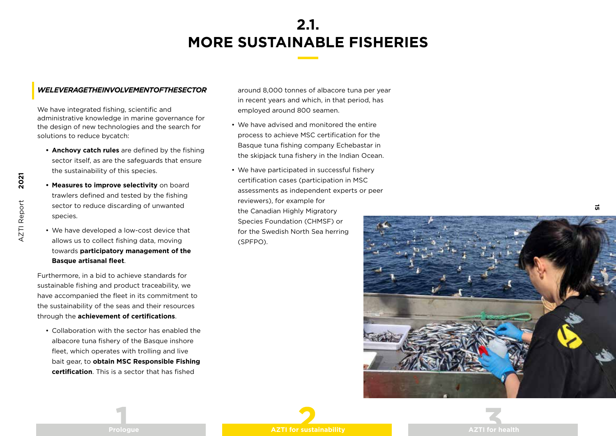#### *WE LEVERAGE THE INVOLVEMENT OF THE SECTOR*

We have integrated fishing, scientific and administrative knowledge in marine governance for the design of new technologies and the search for solutions to reduce bycatch:

- **• Anchovy catch rules** are defined by the fishing sector itself, as are the safeguards that ensure the sustainability of this species.
- **• Measures to improve selectivity** on board trawlers defined and tested by the fishing sector to reduce discarding of unwanted species.

**2021**

AZTI Report

**AZTI Report** 

• We have developed a low-cost device that allows us to collect fishing data, moving towards **participatory management of the Basque artisanal fleet**.

Furthermore, in a bid to achieve standards for sustainable fishing and product traceability, we have accompanied the fleet in its commitment to the sustainability of the seas and their resources through the **achievement of certifications**.

• Collaboration with the sector has enabled the albacore tuna fishery of the Basque inshore fleet, which operates with trolling and live bait gear, to **obtain MSC Responsible Fishing certification**. This is a sector that has fished

around 8,000 tonnes of albacore tuna per year in recent years and which, in that period, has employed around 800 seamen.

- We have advised and monitored the entire process to achieve MSC certification for the Basque tuna fishing company Echebastar in the skipjack tuna fishery in the Indian Ocean.
- We have participated in successful fishery certification cases (participation in MSC assessments as independent experts or peer reviewers), for example for the Canadian Highly Migratory Species Foundation (CHMSF) or for the Swedish North Sea herring (SPFPO).



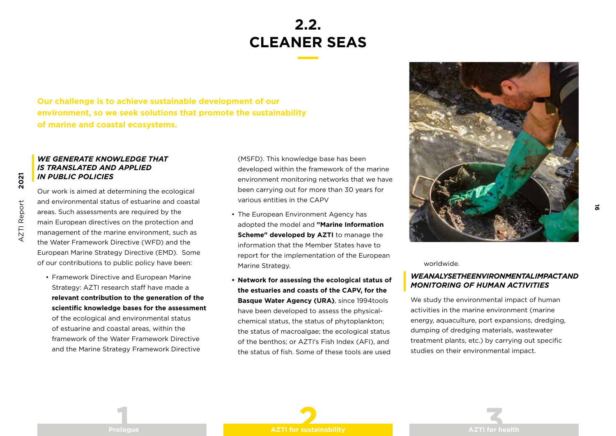### **2.2. CLEANER SEAS**

**Our challenge is to achieve sustainable development of our environment, so we seek solutions that promote the sustainability of marine and coastal ecosystems.** 

#### *WE GENERATE KNOWLEDGE THAT IS TRANSLATED AND APPLIED IN PUBLIC POLICIES*

Our work is aimed at determining the ecological and environmental status of estuarine and coastal areas. Such assessments are required by the main European directives on the protection and management of the marine environment, such as the Water Framework Directive (WFD) and the European Marine Strategy Directive (EMD). Some of our contributions to public policy have been:

• Framework Directive and European Marine Strategy: AZTI research staff have made a **relevant contribution to the generation of the scientific knowledge bases for the assessment**  of the ecological and environmental status

of estuarine and coastal areas, within the framework of the Water Framework Directive and the Marine Strategy Framework Directive (MSFD). This knowledge base has been developed within the framework of the marine environment monitoring networks that we have been carrying out for more than 30 years for various entities in the CAPV

- The European Environment Agency has adopted the model and **"Marine Information Scheme" developed by AZTI** to manage the information that the Member States have to report for the implementation of the European Marine Strategy.
- **• Network for assessing the ecological status of the estuaries and coasts of the CAPV, for the Basque Water Agency (URA)**, since 1994tools have been developed to assess the physicalchemical status, the status of phytoplankton; the status of macroalgae; the ecological status of the benthos; or AZTI's Fish Index (AFI), and the status of fish. Some of these tools are used



**16**

worldwide.

#### *WE ANALYSE THE ENVIRONMENTAL IMPACT AND MONITORING OF HUMAN ACTIVITIES*

We study the environmental impact of human activities in the marine environment (marine energy, aquaculture, port expansions, dredging, dumping of dredging materials, wastewater treatment plants, etc.) by carrying out specific studies on their environmental impact.

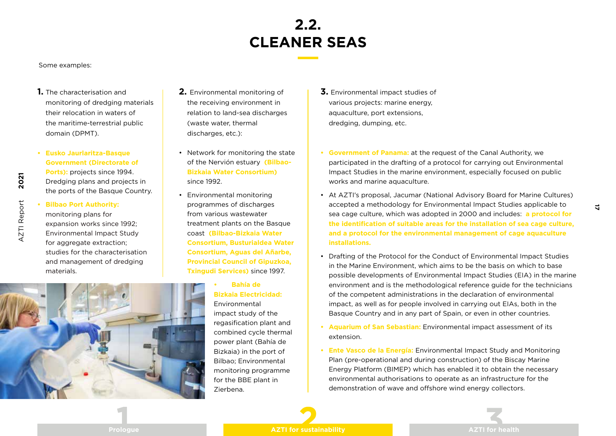# **2.2. CLEANER SEAS**

Some examples:

- **1.** The characterisation and monitoring of dredging materials their relocation in waters of the maritime-terrestrial public domain (DPMT).
- **• Eusko Jaurlaritza-Basque Government (Directorate of Ports):** projects since 1994. Dredging plans and projects in the ports of the Basque Country.
- **AZTI Report** AZTI Report

**2021**

**• Bilbao Port Authority:**  monitoring plans for expansion works since 1992; Environmental Impact Study for aggregate extraction: studies for the characterisation



- **2.** Environmental monitoring of the receiving environment in relation to land-sea discharges (waste water, thermal discharges, etc.):
- Network for monitoring the state of the Nervión estuary **(Bilbao-Bizkaia Water Consortium)**  since 1992.
- Environmental monitoring programmes of discharges from various wastewater treatment plants on the Basque coast **(Bilbao-Bizkaia Water Consortium, Busturialdea Water Consortium, Aguas del Añarbe, Provincial Council of Gipuzkoa, Txingudi Services)** since 1997.
	- **• Bahía de Bizkaia Electricidad:** Environmental impact study of the regasification plant and combined cycle thermal power plant (Bahía de Bizkaia) in the port of Bilbao; Environmental monitoring programme
- **3.** Environmental impact studies of various projects: marine energy, aquaculture, port extensions, dredging, dumping, etc.
- **• Government of Panama:** at the request of the Canal Authority, we participated in the drafting of a protocol for carrying out Environmental Impact Studies in the marine environment, especially focused on public works and marine aquaculture.
- At AZTI's proposal, Jacumar (National Advisory Board for Marine Cultures) accepted a methodology for Environmental Impact Studies applicable to sea cage culture, which was adopted in 2000 and includes: **a protocol for the identification of suitable areas for the installation of sea cage culture, and a protocol for the environmental management of cage aquaculture installations.**
- Drafting of the Protocol for the Conduct of Environmental Impact Studies in the Marine Environment, which aims to be the basis on which to base possible developments of Environmental Impact Studies (EIA) in the marine environment and is the methodological reference guide for the technicians of the competent administrations in the declaration of environmental impact, as well as for people involved in carrying out EIAs, both in the Basque Country and in any part of Spain, or even in other countries.
- **• Aquarium of San Sebastian:** Environmental impact assessment of its extension.
- **• Ente Vasco de la Energía:** Environmental Impact Study and Monitoring Plan (pre-operational and during construction) of the Biscay Marine Energy Platform (BIMEP) which has enabled it to obtain the necessary environmental authorisations to operate as an infrastructure for the demonstration of wave and offshore wind energy collectors.



**17**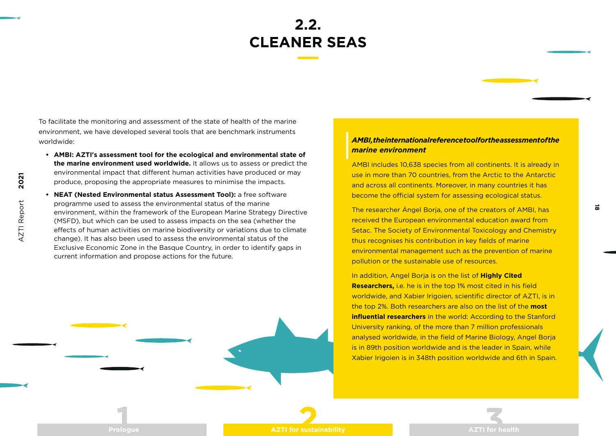To facilitate the monitoring and assessment of the state of health of the marine environment, we have developed several tools that are benchmark instruments worldwide:

- **• AMBI: AZTI's assessment tool for the ecological and environmental state of the marine environment used worldwide.** It allows us to assess or predict the environmental impact that different human activities have produced or may produce, proposing the appropriate measures to minimise the impacts.
- **• NEAT (Nested Environmental status Assessment Tool):** a free software programme used to assess the environmental status of the marine environment, within the framework of the European Marine Strategy Directive (MSFD), but which can be used to assess impacts on the sea (whether the effects of human activities on marine biodiversity or variations due to climate change). It has also been used to assess the environmental status of the Exclusive Economic Zone in the Basque Country, in order to identify gaps in current information and propose actions for the future.

### *AMBI, the international reference tool for the assessment of the marine environment*

AMBI includes 10,638 species from all continents. It is already in use in more than 70 countries, from the Arctic to the Antarctic and across all continents. Moreover, in many countries it has become the official system for assessing ecological status.

The researcher Ángel Borja, one of the creators of AMBI, has received the European environmental education award from Setac. The Society of Environmental Toxicology and Chemistry thus recognises his contribution in key fields of marine environmental management such as the prevention of marine pollution or the sustainable use of resources.

In addition, Angel Borja is on the list of **Highly Cited Researchers,** i.e. he is in the top 1% most cited in his field worldwide, and Xabier Irigoien, scientific director of AZTI, is in the top 2%. Both researchers are also on the list of the **most influential researchers** in the world: According to the Stanford University ranking, of the more than 7 million professionals analysed worldwide, in the field of Marine Biology, Angel Borja is in 89th position worldwide and is the leader in Spain, while Xabier Irigoien is in 348th position worldwide and 6th in Spain.

**Prologue AZTI for sustainability AZTI for health**



**18**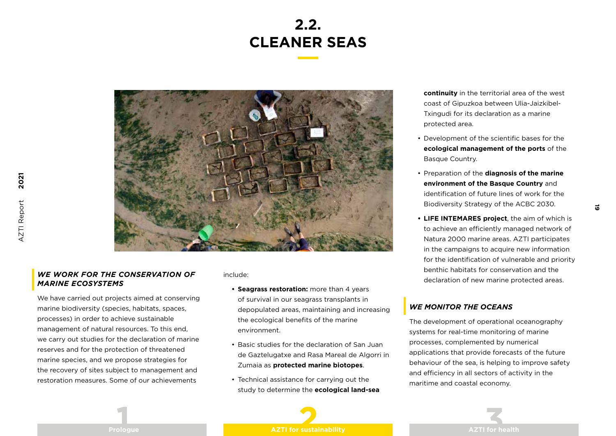## **2.2. CLEANER SEAS**



### *WE WORK FOR THE CONSERVATION OF MARINE ECOSYSTEMS*

We have carried out projects aimed at conserving marine biodiversity (species, habitats, spaces, processes) in order to achieve sustainable management of natural resources. To this end, we carry out studies for the declaration of marine reserves and for the protection of threatened marine species, and we propose strategies for the recovery of sites subject to management and restoration measures. Some of our achievements

#### include:

- **• Seagrass restoration:** more than 4 years of survival in our seagrass transplants in depopulated areas, maintaining and increasing the ecological benefits of the marine environment.
- Basic studies for the declaration of San Juan de Gaztelugatxe and Rasa Mareal de Algorri in Zumaia as **protected marine biotopes**.
- Technical assistance for carrying out the study to determine the **ecological land-sea**

**continuity** in the territorial area of the west coast of Gipuzkoa between Ulia-Jaizkibel-Txingudi for its declaration as a marine protected area.

- Development of the scientific bases for the **ecological management of the ports** of the Basque Country.
- Preparation of the **diagnosis of the marine environment of the Basque Country** and identification of future lines of work for the Biodiversity Strategy of the ACBC 2030.

**19** 

**• LIFE INTEMARES project**, the aim of which is to achieve an efficiently managed network of Natura 2000 marine areas. AZTI participates in the campaigns to acquire new information for the identification of vulnerable and priority benthic habitats for conservation and the declaration of new marine protected areas.

### *WE MONITOR THE OCEANS*

The development of operational oceanography systems for real-time monitoring of marine processes, complemented by numerical applications that provide forecasts of the future behaviour of the sea, is helping to improve safety and efficiency in all sectors of activity in the maritime and coastal economy.



**2021 AZTI Report** AZTI Report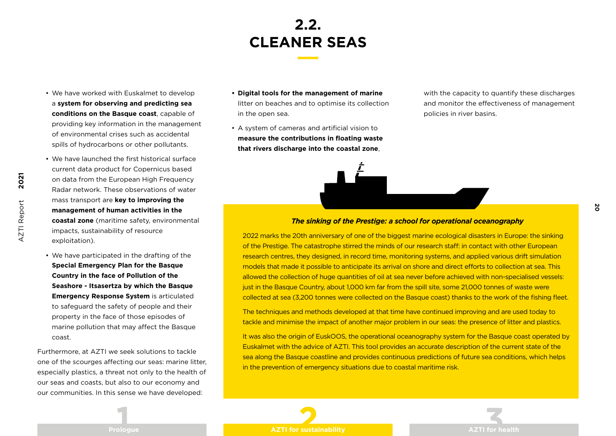# **2.2. CLEANER SEAS**

- We have worked with Euskalmet to develop a **system for observing and predicting sea conditions on the Basque coast**, capable of providing key information in the management of environmental crises such as accidental spills of hydrocarbons or other pollutants.
- We have launched the first historical surface current data product for Copernicus based on data from the European High Frequency Radar network. These observations of water mass transport are **key to improving the management of human activities in the coastal zone** (maritime safety, environmental impacts, sustainability of resource exploitation).

**2021**

AZTI Report

**AZTI Report** 

• We have participated in the drafting of the **Special Emergency Plan for the Basque Country in the face of Pollution of the Seashore - Itsasertza by which the Basque Emergency Response System** is articulated to safeguard the safety of people and their property in the face of those episodes of marine pollution that may affect the Basque coast.

Furthermore, at AZTI we seek solutions to tackle one of the scourges affecting our seas: marine litter, especially plastics, a threat not only to the health of our seas and coasts, but also to our economy and our communities. In this sense we have developed:

- **• Digital tools for the management of marine**  litter on beaches and to optimise its collection in the open sea.
- A system of cameras and artificial vision to **measure the contributions in floating waste that rivers discharge into the coastal zone**,

with the capacity to quantify these discharges and monitor the effectiveness of management policies in river basins.

**20**

#### *The sinking of the Prestige: a school for operational oceanography*

2022 marks the 20th anniversary of one of the biggest marine ecological disasters in Europe: the sinking of the Prestige. The catastrophe stirred the minds of our research staff: in contact with other European research centres, they designed, in record time, monitoring systems, and applied various drift simulation models that made it possible to anticipate its arrival on shore and direct efforts to collection at sea. This allowed the collection of huge quantities of oil at sea never before achieved with non-specialised vessels: just in the Basque Country, about 1,000 km far from the spill site, some 21,000 tonnes of waste were collected at sea (3,200 tonnes were collected on the Basque coast) thanks to the work of the fishing fleet.

The techniques and methods developed at that time have continued improving and are used today to tackle and minimise the impact of another major problem in our seas: the presence of litter and plastics.

It was also the origin of EuskOOS, the operational oceanography system for the Basque coast operated by Euskalmet with the advice of AZTI. This tool provides an accurate description of the current state of the sea along the Basque coastline and provides continuous predictions of future sea conditions, which helps in the prevention of emergency situations due to coastal maritime risk.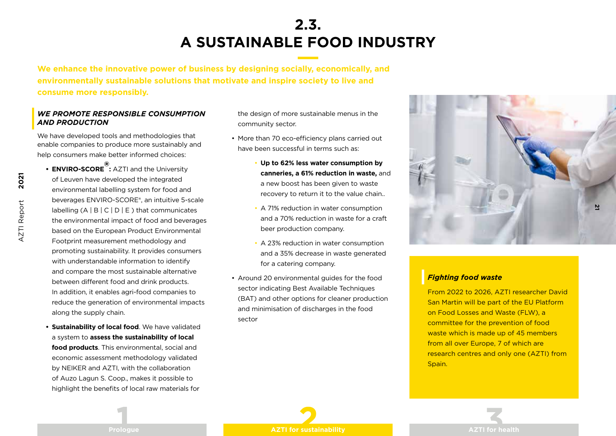## **2.3. A SUSTAINABLE FOOD INDUSTRY**

**We enhance the innovative power of business by designing socially, economically, and environmentally sustainable solutions that motivate and inspire society to live and consume more responsibly.**

### *WE PROMOTE RESPONSIBLE CONSUMPTION AND PRODUCTION*

We have developed tools and methodologies that enable companies to produce more sustainably and help consumers make better informed choices:

- **• ENVIRO-SCORE ® :** AZTI and the University of Leuven have developed the integrated environmental labelling system for food and beverages ENVIRO-SCORE®, an intuitive 5-scale labelling  $(A | B | C | D | E)$  that communicates the environmental impact of food and beverages based on the European Product Environmental Footprint measurement methodology and promoting sustainability. It provides consumers with understandable information to identify and compare the most sustainable alternative between different food and drink products. In addition, it enables agri-food companies to reduce the generation of environmental impacts along the supply chain.
- **• Sustainability of local food**. We have validated a system to **assess the sustainability of local food products**. This environmental, social and economic assessment methodology validated by NEIKER and AZTI, with the collaboration of Auzo Lagun S. Coop., makes it possible to highlight the benefits of local raw materials for

the design of more sustainable menus in the community sector.

- More than 70 eco-efficiency plans carried out have been successful in terms such as:
	- **Up to 62% less water consumption by canneries, a 61% reduction in waste,** and a new boost has been given to waste recovery to return it to the value chain..
	- A 71% reduction in water consumption and a 70% reduction in waste for a craft beer production company.
	- A 23% reduction in water consumption and a 35% decrease in waste generated for a catering company.
- Around 20 environmental guides for the food sector indicating Best Available Techniques (BAT) and other options for cleaner production and minimisation of discharges in the food sector



### *Fighting food waste*

From 2022 to 2026, AZTI researcher David San Martin will be part of the EU Platform on Food Losses and Waste (FLW), a committee for the prevention of food waste which is made up of 45 members from all over Europe, 7 of which are research centres and only one (AZTI) from Spain.

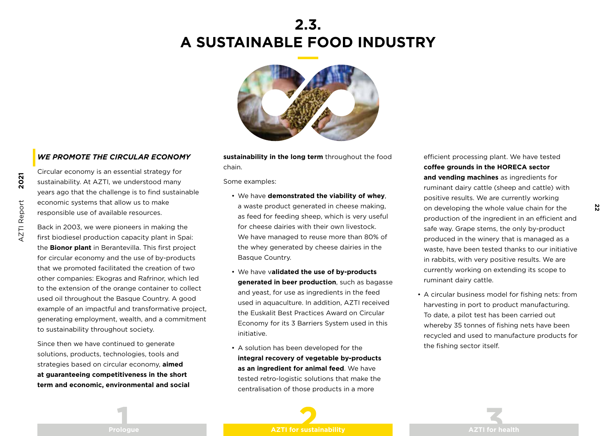### **2.3. A SUSTAINABLE FOOD INDUSTRY**



### *WE PROMOTE THE CIRCULAR ECONOMY*

Circular economy is an essential strategy for sustainability. At AZTI, we understood many years ago that the challenge is to find sustainable economic systems that allow us to make responsible use of available resources.

Back in 2003, we were pioneers in making the first biodiesel production capacity plant in Spai: the **Bionor plant** in Berantevilla. This first project for circular economy and the use of by-products that we promoted facilitated the creation of two other companies: Ekogras and Rafrinor, which led to the extension of the orange container to collect used oil throughout the Basque Country. A good example of an impactful and transformative project, generating employment, wealth, and a commitment to sustainability throughout society.

Since then we have continued to generate solutions, products, technologies, tools and strategies based on circular economy, **aimed at guaranteeing competitiveness in the short term and economic, environmental and social**  **sustainability in the long term** throughout the food chain.

Some examples:

- We have **demonstrated the viability of whey**, a waste product generated in cheese making, as feed for feeding sheep, which is very useful for cheese dairies with their own livestock. We have managed to reuse more than 80% of the whey generated by cheese dairies in the Basque Country.
- We have v**alidated the use of by-products generated in beer production**, such as bagasse and yeast, for use as ingredients in the feed used in aquaculture. In addition, AZTI received the Euskalit Best Practices Award on Circular Economy for its 3 Barriers System used in this initiative.
- A solution has been developed for the **integral recovery of vegetable by-products as an ingredient for animal feed**. We have tested retro-logistic solutions that make the centralisation of those products in a more

efficient processing plant. We have tested **coffee grounds in the HORECA sector and vending machines** as ingredients for ruminant dairy cattle (sheep and cattle) with positive results. We are currently working on developing the whole value chain for the production of the ingredient in an efficient and safe way. Grape stems, the only by-product produced in the winery that is managed as a waste, have been tested thanks to our initiative in rabbits, with very positive results. We are currently working on extending its scope to ruminant dairy cattle.

**22**

• A circular business model for fishing nets: from harvesting in port to product manufacturing. To date, a pilot test has been carried out whereby 35 tonnes of fishing nets have been recycled and used to manufacture products for the fishing sector itself.

![](_page_22_Picture_13.jpeg)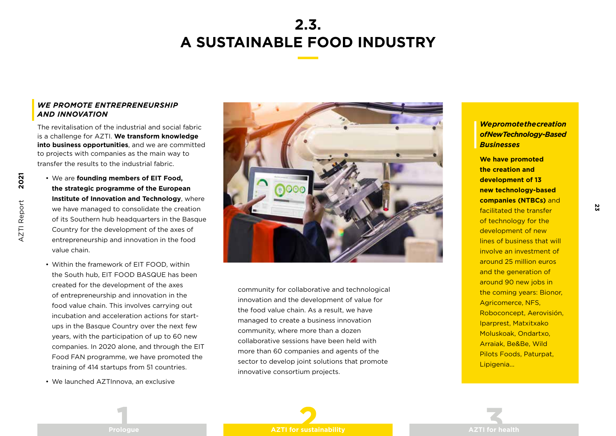# **2.3. A SUSTAINABLE FOOD INDUSTRY**

### *WE PROMOTE ENTREPRENEURSHIP AND INNOVATION*

The revitalisation of the industrial and social fabric is a challenge for AZTI. **We transform knowledge into business opportunities**, and we are committed to projects with companies as the main way to transfer the results to the industrial fabric.

- We are **founding members of EIT Food, the strategic programme of the European Institute of Innovation and Technology**, where we have managed to consolidate the creation of its Southern hub headquarters in the Basque Country for the development of the axes of entrepreneurship and innovation in the food value chain.
- Within the framework of EIT FOOD, within the South hub, EIT FOOD BASQUE has been created for the development of the axes of entrepreneurship and innovation in the food value chain. This involves carrying out incubation and acceleration actions for startups in the Basque Country over the next few years, with the participation of up to 60 new companies. In 2020 alone, and through the EIT Food FAN programme, we have promoted the training of 414 startups from 51 countries.
- We launched AZTInnova, an exclusive

![](_page_23_Picture_6.jpeg)

community for collaborative and technological innovation and the development of value for the food value chain. As a result, we have managed to create a business innovation community, where more than a dozen collaborative sessions have been held with more than 60 companies and agents of the sector to develop joint solutions that promote innovative consortium projects.

*We promote the creation of New Technology-Based Businesses* 

**We have promoted the creation and development of 13 new technology-based companies (NTBCs)** and facilitated the transfer of technology for the development of new lines of business that will involve an investment of around 25 million euros and the generation of around 90 new jobs in the coming years: Bionor, Agricomerce, NFS, Roboconcept, Aerovisión, Iparprest, Matxitxako Moluskoak, Ondartxo, Arraiak, Be&Be, Wild Pilots Foods, Paturpat, Lipigenia...

**23**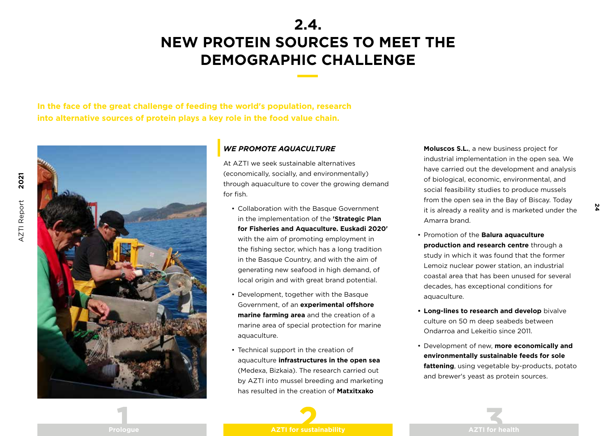### **2.4. NEW PROTEIN SOURCES TO MEET THE DEMOGRAPHIC CHALLENGE**

**In the face of the great challenge of feeding the world's population, research into alternative sources of protein plays a key role in the food value chain.**

![](_page_24_Picture_3.jpeg)

### *WE PROMOTE AQUACULTURE*

At AZTI we seek sustainable alternatives (economically, socially, and environmentally) through aquaculture to cover the growing demand for fish.

- Collaboration with the Basque Government in the implementation of the **'Strategic Plan for Fisheries and Aquaculture. Euskadi 2020'** with the aim of promoting employment in the fishing sector, which has a long tradition in the Basque Country, and with the aim of generating new seafood in high demand, of local origin and with great brand potential.
- Development, together with the Basque Government, of an **experimental offshore marine farming area** and the creation of a marine area of special protection for marine aquaculture.
- Technical support in the creation of aquaculture **infrastructures in the open sea** (Medexa, Bizkaia). The research carried out by AZTI into mussel breeding and marketing has resulted in the creation of **Matxitxako**

**Moluscos S.L.**, a new business project for industrial implementation in the open sea. We have carried out the development and analysis of biological, economic, environmental, and social feasibility studies to produce mussels from the open sea in the Bay of Biscay. Today it is already a reality and is marketed under the Amarra brand.

**24**

- Promotion of the **Balura aquaculture production and research centre** through a study in which it was found that the former Lemoiz nuclear power station, an industrial coastal area that has been unused for several decades, has exceptional conditions for aquaculture.
- **• Long-lines to research and develop** bivalve culture on 50 m deep seabeds between Ondarroa and Lekeitio since 2011.
- Development of new, **more economically and environmentally sustainable feeds for sole fattening**, using vegetable by-products, potato and brewer's yeast as protein sources.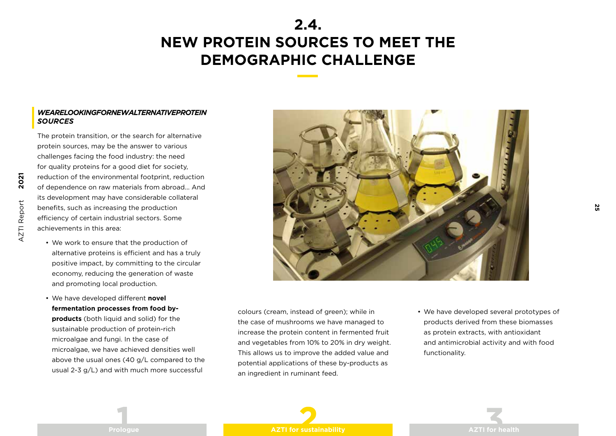### **2.4. NEW PROTEIN SOURCES TO MEET THE DEMOGRAPHIC CHALLENGE**

#### *WE ARE LOOKING FOR NEW ALTERNATIVE PROTEIN SOURCES*

The protein transition, or the search for alternative protein sources, may be the answer to various challenges facing the food industry: the need for quality proteins for a good diet for society, reduction of the environmental footprint, reduction of dependence on raw materials from abroad... And its development may have considerable collateral benefits, such as increasing the production efficiency of certain industrial sectors. Some achievements in this area:

- We work to ensure that the production of alternative proteins is efficient and has a truly positive impact, by committing to the circular economy, reducing the generation of waste and promoting local production.
- We have developed different **novel fermentation processes from food byproducts** (both liquid and solid) for the sustainable production of protein-rich microalgae and fungi. In the case of microalgae, we have achieved densities well above the usual ones (40 g/L compared to the usual 2-3 g/L) and with much more successful

![](_page_25_Picture_5.jpeg)

colours (cream, instead of green); while in the case of mushrooms we have managed to increase the protein content in fermented fruit and vegetables from 10% to 20% in dry weight. This allows us to improve the added value and potential applications of these by-products as an ingredient in ruminant feed.

• We have developed several prototypes of products derived from these biomasses as protein extracts, with antioxidant and antimicrobial activity and with food functionality.

**25**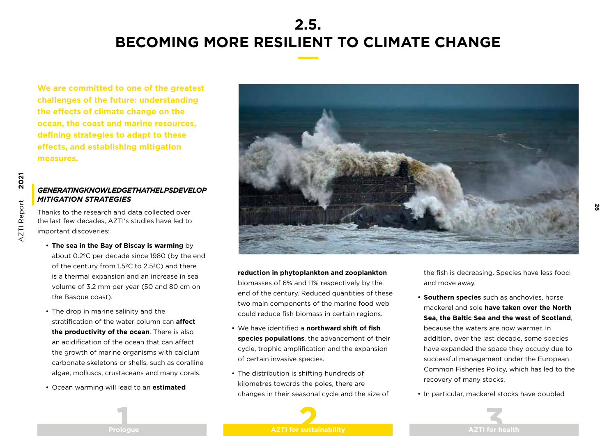### **2.5. BECOMING MORE RESILIENT TO CLIMATE CHANGE**

**We are committed to one of the greatest challenges of the future: understanding the effects of climate change on the ocean, the coast and marine resources, defining strategies to adapt to these effects, and establishing mitigation measures.**

### *GENERATING KNOWLEDGE THAT HELPS DEVELOP MITIGATION STRATEGIES*

Thanks to the research and data collected over the last few decades, AZTI's studies have led to important discoveries:

- **The sea in the Bay of Biscay is warming** by about 0.2ºC per decade since 1980 (by the end of the century from 1.5ºC to 2.5ªC) and there is a thermal expansion and an increase in sea volume of 3.2 mm per year (50 and 80 cm on the Basque coast).
- The drop in marine salinity and the stratification of the water column can **affect the productivity of the ocean**. There is also an acidification of the ocean that can affect the growth of marine organisms with calcium carbonate skeletons or shells, such as coralline algae, molluscs, crustaceans and many corals.
- Ocean warming will lead to an **estimated**

![](_page_26_Picture_8.jpeg)

**reduction in phytoplankton and zooplankton**  biomasses of 6% and 11% respectively by the end of the century. Reduced quantities of these two main components of the marine food web could reduce fish biomass in certain regions.

- We have identified a **northward shift of fish species populations**, the advancement of their cycle, trophic amplification and the expansion of certain invasive species.
- The distribution is shifting hundreds of kilometres towards the poles, there are changes in their seasonal cycle and the size of

the fish is decreasing. Species have less food and move away.

**26**

- **• Southern species** such as anchovies, horse mackerel and sole **have taken over the North Sea, the Baltic Sea and the west of Scotland**, because the waters are now warmer. In addition, over the last decade, some species have expanded the space they occupy due to successful management under the European Common Fisheries Policy, which has led to the recovery of many stocks.
- In particular, mackerel stocks have doubled

![](_page_26_Picture_15.jpeg)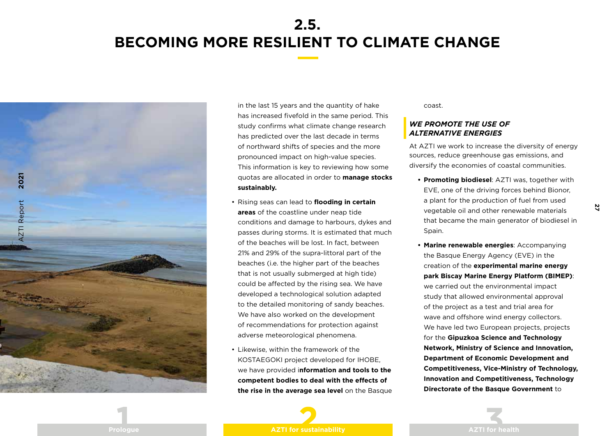### **2.5. BECOMING MORE RESILIENT TO CLIMATE CHANGE**

![](_page_27_Picture_1.jpeg)

in the last 15 years and the quantity of hake has increased fivefold in the same period. This study confirms what climate change research has predicted over the last decade in terms of northward shifts of species and the more pronounced impact on high-value species. This information is key to reviewing how some quotas are allocated in order to **manage stocks sustainably.**

- Rising seas can lead to **flooding in certain areas** of the coastline under neap tide conditions and damage to harbours, dykes and passes during storms. It is estimated that much of the beaches will be lost. In fact, between 21% and 29% of the supra-littoral part of the beaches (i.e. the higher part of the beaches that is not usually submerged at high tide) could be affected by the rising sea. We have developed a technological solution adapted to the detailed monitoring of sandy beaches. We have also worked on the development of recommendations for protection against adverse meteorological phenomena.
- Likewise, within the framework of the KOSTAEGOKI project developed for IHOBE, we have provided i**nformation and tools to the competent bodies to deal with the effects of the rise in the average sea level** on the Basque

coast.

### *WE PROMOTE THE USE OF ALTERNATIVE ENERGIES*

At AZTI we work to increase the diversity of energy sources, reduce greenhouse gas emissions, and diversify the economies of coastal communities.

- **• Promoting biodiesel**: AZTI was, together with EVE, one of the driving forces behind Bionor, a plant for the production of fuel from used vegetable oil and other renewable materials that became the main generator of biodiesel in Spain.
- **• Marine renewable energies**: Accompanying the Basque Energy Agency (EVE) in the creation of the **experimental marine energy park Biscay Marine Energy Platform (BIMEP)**: we carried out the environmental impact study that allowed environmental approval of the project as a test and trial area for wave and offshore wind energy collectors. We have led two European projects, projects for the **Gipuzkoa Science and Technology Network, Ministry of Science and Innovation, Department of Economic Development and Competitiveness, Vice-Ministry of Technology, Innovation and Competitiveness, Technology Directorate of the Basque Government** to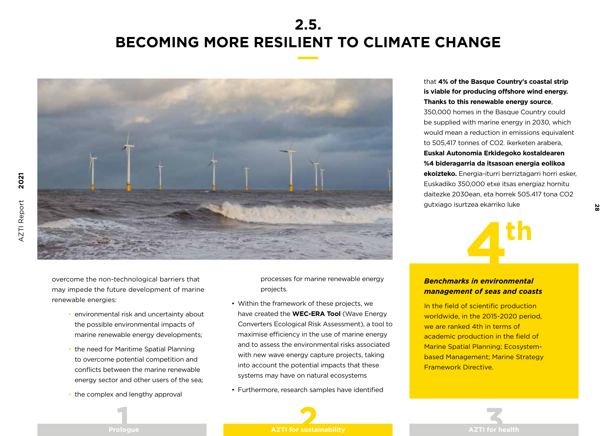### **2.5. BECOMING MORE RESILIENT TO CLIMATE CHANGE**

![](_page_28_Picture_1.jpeg)

![](_page_28_Picture_2.jpeg)

- environmental risk and uncertainty about the possible environmental impacts of marine renewable energy developments;
- the need for Maritime Spatial Planning to overcome potential competition and conflicts between the marine renewable energy sector and other users of the sea;
- the complex and lengthy approval

processes for marine renewable energy projects.

- Within the framework of these projects, we have created the **WEC-ERA Tool** (Wave Energy Converters Ecological Risk Assessment), a tool to maximise efficiency in the use of marine energy and to assess the environmental risks associated with new wave energy capture projects, taking into account the potential impacts that these systems may have on natural ecosystems
- Furthermore, research samples have identified

### that **4% of the Basque Country's coastal strip is viable for producing offshore wind energy. Thanks to this renewable energy source**, 350,000 homes in the Basque Country could be supplied with marine energy in 2030, which would mean a reduction in emissions equivalent to 505,417 tonnes of CO2. ikerketen arabera, **Euskal Autonomia Erkidegoko kostaldearen %4 bideragarria da itsasoan energia eolikoa ekoizteko.** Energia-iturri berriztagarri horri esker,

Euskadiko 350,000 etxe itsas energiaz hornitu daitezke 2030ean, eta horrek 505.417 tona CO2 gutxiago isurtzea ekarriko luke

![](_page_28_Picture_11.jpeg)

### *Benchmarks in environmental management of seas and coasts*

In the field of scientific production worldwide, in the 2015-2020 period, we are ranked 4th in terms of academic production in the field of Marine Spatial Planning; Ecosystembased Management; Marine Strategy Framework Directive.

![](_page_28_Picture_14.jpeg)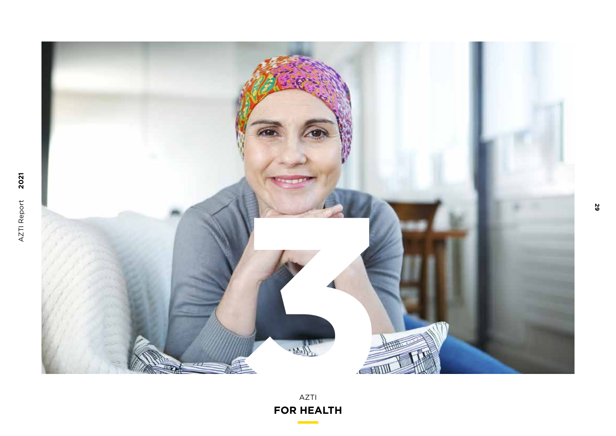![](_page_29_Picture_0.jpeg)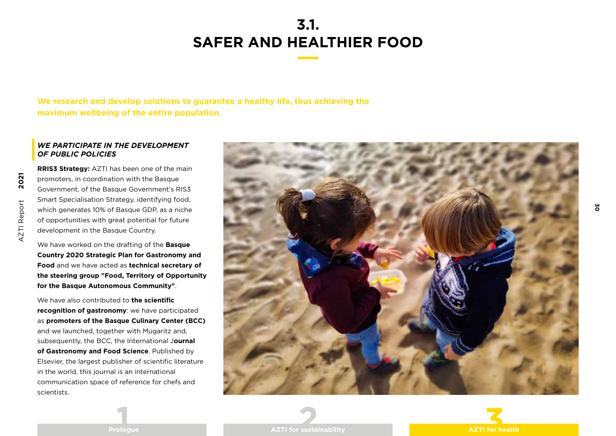**We research and develop solutions to guarantee a healthy life, thus achieving the maximum wellbeing of the entire population.**

### *WE PARTICIPATE IN THE DEVELOPMENT OF PUBLIC POLICIES*

**RRIS3 Strategy:** AZTI has been one of the main promoters, in coordination with the Basque Government, of the Basque Government's RIS3 Smart Specialisation Strategy, identifying food, which generates 10% of Basque GDP, as a niche of opportunities with great potential for future development in the Basque Country.

We have worked on the drafting of the **Basque Country 2020 Strategic Plan for Gastronomy and Food** and we have acted as **technical secretary of the steering group "Food, Territory of Opportunity for the Basque Autonomous Community"**.

We have also contributed to **the scientific recognition of gastronomy**: we have participated as **promoters of the Basque Culinary Center (BCC)**  and we launched, together with Mugaritz and, subsequently, the BCC, the International J**ournal of Gastronomy and Food Science**. Published by Elsevier, the largest publisher of scientific literature in the world, this journal is an international communication space of reference for chefs and scientists.

![](_page_30_Picture_6.jpeg)

![](_page_30_Picture_7.jpeg)

**30**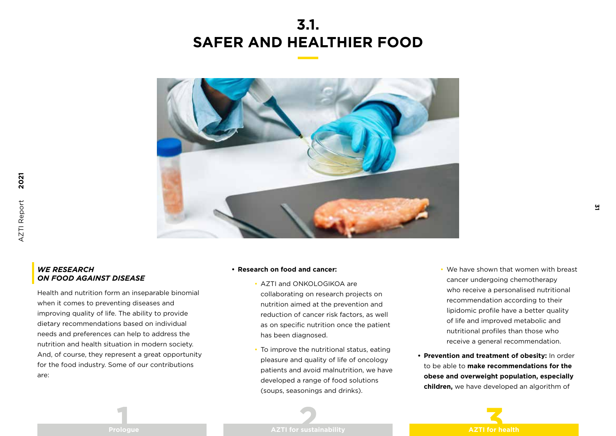![](_page_31_Picture_1.jpeg)

### *WE RESEARCH ON FOOD AGAINST DISEASE*

**2021**

AZTI Report

AZTI Report

Health and nutrition form an inseparable binomial when it comes to preventing diseases and improving quality of life. The ability to provide dietary recommendations based on individual needs and preferences can help to address the nutrition and health situation in modern society. And, of course, they represent a great opportunity for the food industry. Some of our contributions are:

#### **• Research on food and cancer:**

- AZTI and ONKOLOGIKOA are collaborating on research projects on nutrition aimed at the prevention and reduction of cancer risk factors, as well as on specific nutrition once the patient has been diagnosed.
- To improve the nutritional status, eating pleasure and quality of life of oncology patients and avoid malnutrition, we have developed a range of food solutions (soups, seasonings and drinks).
- We have shown that women with breast cancer undergoing chemotherapy who receive a personalised nutritional recommendation according to their lipidomic profile have a better quality of life and improved metabolic and nutritional profiles than those who receive a general recommendation.
- **• Prevention and treatment of obesity:** In order to be able to **make recommendations for the obese and overweight population, especially children,** we have developed an algorithm of

![](_page_31_Picture_9.jpeg)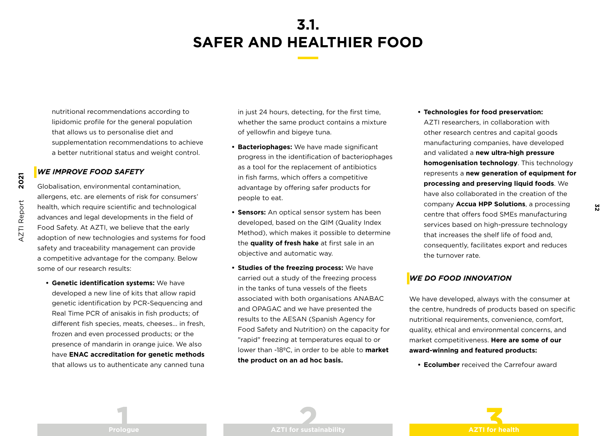nutritional recommendations according to lipidomic profile for the general population that allows us to personalise diet and supplementation recommendations to achieve a better nutritional status and weight control.

#### *WE IMPROVE FOOD SAFETY*

**2021**

AZTI Report

**AZTI Report** 

Globalisation, environmental contamination, allergens, etc. are elements of risk for consumers' health, which require scientific and technological advances and legal developments in the field of Food Safety. At AZTI, we believe that the early adoption of new technologies and systems for food safety and traceability management can provide a competitive advantage for the company. Below some of our research results:

**• Genetic identification systems:** We have developed a new line of kits that allow rapid genetic identification by PCR-Sequencing and Real Time PCR of anisakis in fish products; of different fish species, meats, cheeses... in fresh, frozen and even processed products; or the presence of mandarin in orange juice. We also have **ENAC accreditation for genetic methods** that allows us to authenticate any canned tuna in just 24 hours, detecting, for the first time, whether the same product contains a mixture of yellowfin and bigeye tuna.

- **• Bacteriophages:** We have made significant progress in the identification of bacteriophages as a tool for the replacement of antibiotics in fish farms, which offers a competitive advantage by offering safer products for people to eat.
- **• Sensors:** An optical sensor system has been developed, based on the QIM (Quality Index Method), which makes it possible to determine the **quality of fresh hake** at first sale in an objective and automatic way.
- **• Studies of the freezing process:** We have carried out a study of the freezing process in the tanks of tuna vessels of the fleets associated with both organisations ANABAC and OPAGAC and we have presented the results to the AESAN (Spanish Agency for Food Safety and Nutrition) on the capacity for "rapid" freezing at temperatures equal to or lower than -18ºC, in order to be able to **market the product on an ad hoc basis.**
- **• Technologies for food preservation:**  AZTI researchers, in collaboration with other research centres and capital goods manufacturing companies, have developed and validated a **new ultra-high pressure homogenisation technology**. This technology represents a **new generation of equipment for processing and preserving liquid foods**. We have also collaborated in the creation of the company **Accua HPP Solutions**, a processing centre that offers food SMEs manufacturing services based on high-pressure technology that increases the shelf life of food and, consequently, facilitates export and reduces the turnover rate.

### *WE DO FOOD INNOVATION*

We have developed, always with the consumer at the centre, hundreds of products based on specific nutritional requirements, convenience, comfort, quality, ethical and environmental concerns, and market competitiveness. **Here are some of our award-winning and featured products:**

**• Ecolumber** received the Carrefour award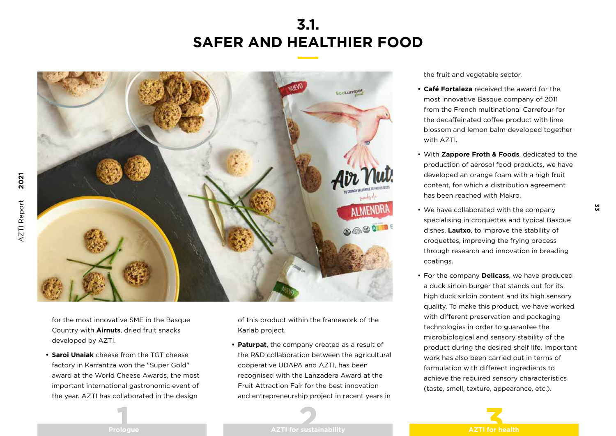![](_page_33_Picture_1.jpeg)

for the most innovative SME in the Basque Country with **Airnuts**, dried fruit snacks developed by AZTI.

**• Saroi Unaiak** cheese from the TGT cheese factory in Karrantza won the "Super Gold" award at the World Cheese Awards, the most important international gastronomic event of the year. AZTI has collaborated in the design

of this product within the framework of the Karlab project.

**• Paturpat**, the company created as a result of the R&D collaboration between the agricultural cooperative UDAPA and AZTI, has been recognised with the Lanzadera Award at the Fruit Attraction Fair for the best innovation and entrepreneurship project in recent years in the fruit and vegetable sector.

- **• Café Fortaleza** received the award for the most innovative Basque company of 2011 from the French multinational Carrefour for the decaffeinated coffee product with lime blossom and lemon balm developed together with AZTI.
- With **Zappore Froth & Foods**, dedicated to the production of aerosol food products, we have developed an orange foam with a high fruit content, for which a distribution agreement has been reached with Makro.

**33**

- We have collaborated with the company specialising in croquettes and typical Basque dishes, **Lautxo**, to improve the stability of croquettes, improving the frying process through research and innovation in breading coatings.
- For the company **Delicass**, we have produced a duck sirloin burger that stands out for its high duck sirloin content and its high sensory quality. To make this product, we have worked with different preservation and packaging technologies in order to guarantee the microbiological and sensory stability of the product during the desired shelf life. Important work has also been carried out in terms of formulation with different ingredients to achieve the required sensory characteristics (taste, smell, texture, appearance, etc.).

![](_page_33_Picture_11.jpeg)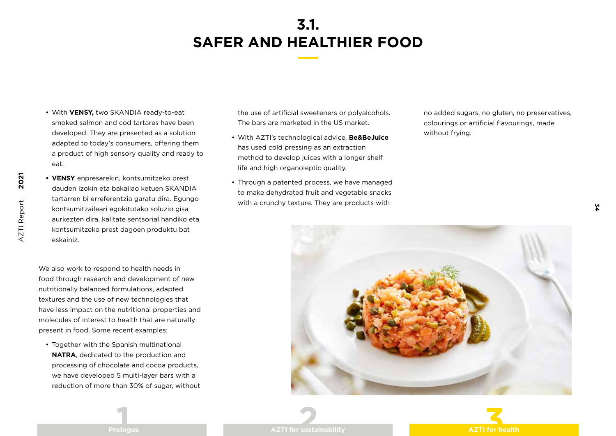- With **VENSY,** two SKANDIA ready-to-eat smoked salmon and cod tartares have been developed. They are presented as a solution adapted to today's consumers, offering them a product of high sensory quality and ready to eat.
- **• VENSY** enpresarekin, kontsumitzeko prest dauden izokin eta bakailao ketuen SKANDIA tartarren bi erreferentzia garatu dira. Egungo kontsumitzaileari egokitutako soluzio gisa aurkezten dira, kalitate sentsorial handiko eta kontsumitzeko prest dagoen produktu bat eskainiz.

We also work to respond to health needs in food through research and development of new nutritionally balanced formulations, adapted textures and the use of new technologies that have less impact on the nutritional properties and molecules of interest to health that are naturally present in food. Some recent examples:

• Together with the Spanish multinational **NATRA**, dedicated to the production and processing of chocolate and cocoa products, we have developed 5 multi-layer bars with a reduction of more than 30% of sugar, without the use of artificial sweeteners or polyalcohols. The bars are marketed in the US market.

- With AZTI's technological advice, **Be&BeJuice** has used cold pressing as an extraction method to develop juices with a longer shelf life and high organoleptic quality.
- Through a patented process, we have managed to make dehydrated fruit and vegetable snacks with a crunchy texture. They are products with

no added sugars, no gluten, no preservatives, colourings or artificial flavourings, made without frying.

**34**

![](_page_34_Picture_9.jpeg)

![](_page_34_Picture_10.jpeg)

**2021**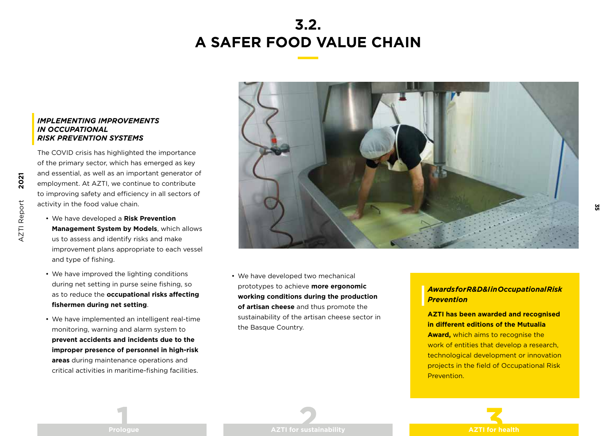# **3.2. A SAFER FOOD VALUE CHAIN**

### *IMPLEMENTING IMPROVEMENTS IN OCCUPATIONAL RISK PREVENTION SYSTEMS*

The COVID crisis has highlighted the importance of the primary sector, which has emerged as key and essential, as well as an important generator of employment. At AZTI, we continue to contribute to improving safety and efficiency in all sectors of activity in the food value chain.

- We have developed a **Risk Prevention Management System by Models**, which allows us to assess and identify risks and make improvement plans appropriate to each vessel and type of fishing.
- We have improved the lighting conditions during net setting in purse seine fishing, so as to reduce the **occupational risks affecting fishermen during net setting**.
- We have implemented an intelligent real-time monitoring, warning and alarm system to **prevent accidents and incidents due to the improper presence of personnel in high-risk areas** during maintenance operations and critical activities in maritime-fishing facilities.

![](_page_35_Picture_6.jpeg)

• We have developed two mechanical prototypes to achieve **more ergonomic working conditions during the production of artisan cheese** and thus promote the sustainability of the artisan cheese sector in the Basque Country.

### *Awards for R&D&I in Occupational Risk Prevention*

### **AZTI has been awarded and recognised in different editions of the Mutualia**

**Award,** which aims to recognise the work of entities that develop a research, technological development or innovation projects in the field of Occupational Risk Prevention.

![](_page_35_Picture_11.jpeg)

**2021**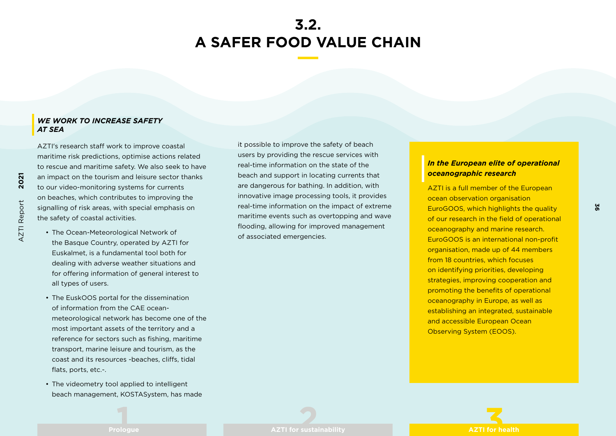### **3.2. A SAFER FOOD VALUE CHAIN**

#### *WE WORK TO INCREASE SAFETY AT SEA*

AZTI's research staff work to improve coastal maritime risk predictions, optimise actions related to rescue and maritime safety. We also seek to have an impact on the tourism and leisure sector thanks to our video-monitoring systems for currents on beaches, which contributes to improving the signalling of risk areas, with special emphasis on the safety of coastal activities.

- The Ocean-Meteorological Network of the Basque Country, operated by AZTI for Euskalmet, is a fundamental tool both for dealing with adverse weather situations and for offering information of general interest to all types of users.
- The EuskOOS portal for the dissemination of information from the CAE oceanmeteorological network has become one of the most important assets of the territory and a reference for sectors such as fishing, maritime transport, marine leisure and tourism, as the coast and its resources -beaches, cliffs, tidal flats, ports, etc.-.
- The videometry tool applied to intelligent beach management, KOSTASystem, has made

it possible to improve the safety of beach users by providing the rescue services with real-time information on the state of the beach and support in locating currents that are dangerous for bathing. In addition, with innovative image processing tools, it provides real-time information on the impact of extreme maritime events such as overtopping and wave flooding, allowing for improved management of associated emergencies.

### *In the European elite of operational oceanographic research*

**36**

AZTI is a full member of the European ocean observation organisation EuroGOOS, which highlights the quality of our research in the field of operational oceanography and marine research. EuroGOOS is an international non-profit organisation, made up of 44 members from 18 countries, which focuses on identifying priorities, developing strategies, improving cooperation and promoting the benefits of operational oceanography in Europe, as well as establishing an integrated, sustainable and accessible European Ocean Observing System (EOOS).

![](_page_36_Picture_9.jpeg)

**2021**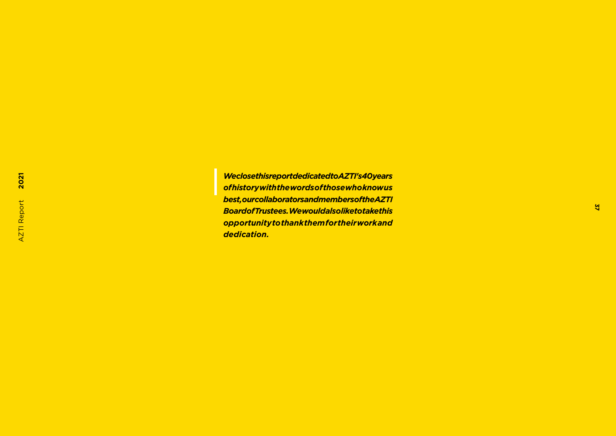*We close this report dedicated to AZTI's 40 years of history with the words of those who know us best, our collaborators and members of the AZTI Board of Trustees. We would also like to take this opportunity to thank them for their work and dedication.*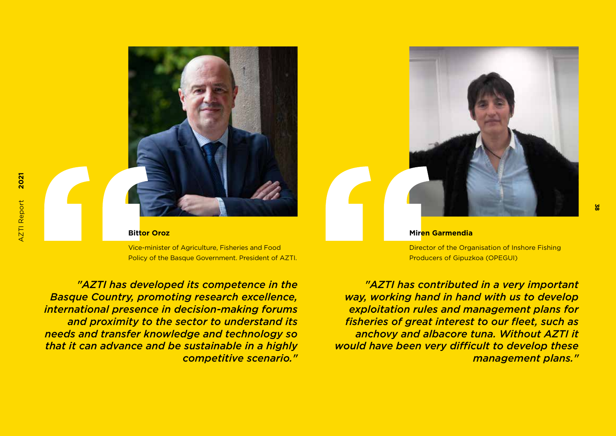![](_page_38_Picture_1.jpeg)

#### **Bittor Oroz**

Vice-minister of Agriculture, Fisheries and Food Policy of the Basque Government. President of AZTI.

*"AZTI has developed its competence in the Basque Country, promoting research excellence, international presence in decision-making forums and proximity to the sector to understand its needs and transfer knowledge and technology so that it can advance and be sustainable in a highly competitive scenario."*

![](_page_38_Picture_5.jpeg)

#### **Miren Garmendia**

Director of the Organisation of Inshore Fishing Producers of Gipuzkoa (OPEGUI)

*"AZTI has contributed in a very important way, working hand in hand with us to develop exploitation rules and management plans for fisheries of great interest to our fleet, such as anchovy and albacore tuna. Without AZTI it would have been very difficult to develop these management plans."*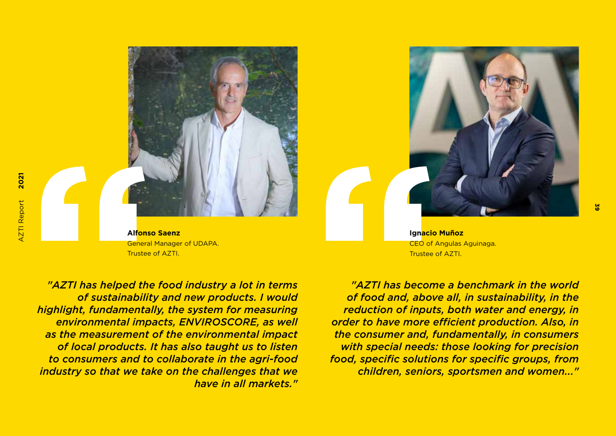![](_page_39_Picture_1.jpeg)

**Alfonso Saenz** General Manager of UDAPA. Trustee of AZTI.

*"AZTI has helped the food industry a lot in terms of sustainability and new products. I would highlight, fundamentally, the system for measuring environmental impacts, ENVIROSCORE, as well as the measurement of the environmental impact of local products. It has also taught us to listen to consumers and to collaborate in the agri-food industry so that we take on the challenges that we have in all markets."*

*"AZTI has become a benchmark in the world of food and, above all, in sustainability, in the reduction of inputs, both water and energy, in order to have more efficient production. Also, in the consumer and, fundamentally, in consumers with special needs: those looking for precision food, specific solutions for specific groups, from children, seniors, sportsmen and women..."*

![](_page_39_Picture_5.jpeg)

**Ignacio Muñoz** CEO of Angulas Aguinaga. Trustee of AZTI.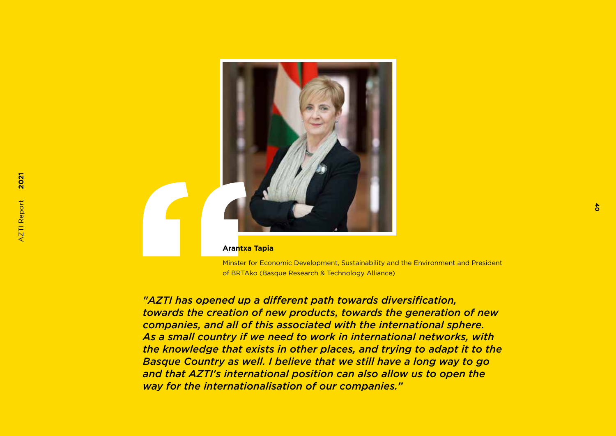![](_page_40_Picture_0.jpeg)

#### **Arantxa Tapia**

Minster for Economic Development, Sustainability and the Environment and President of BRTAko (Basque Research & Technology Alliance)

*"AZTI has opened up a different path towards diversification, towards the creation of new products, towards the generation of new companies, and all of this associated with the international sphere. As a small country if we need to work in international networks, with the knowledge that exists in other places, and trying to adapt it to the Basque Country as well. I believe that we still have a long way to go and that AZTI's international position can also allow us to open the way for the internationalisation of our companies."*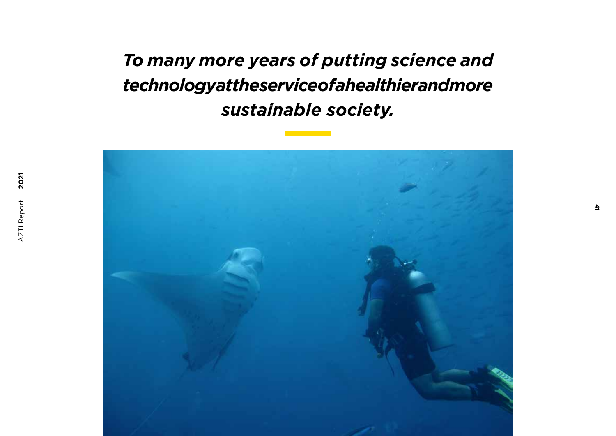*To many more years of putting science and technology at the service of a healthier and more sustainable society.*

![](_page_41_Picture_1.jpeg)